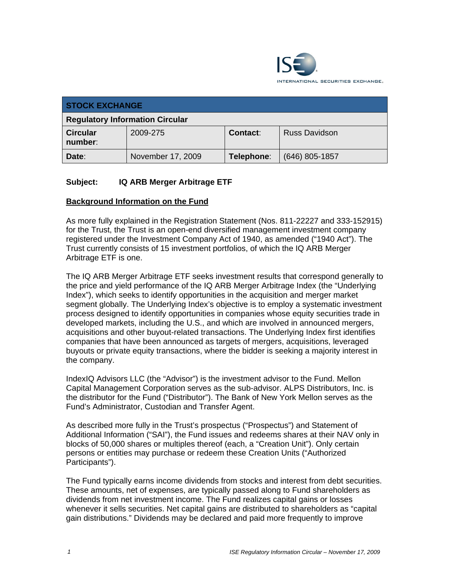

| <b>STOCK EXCHANGE</b>                  |                   |                 |                      |  |  |
|----------------------------------------|-------------------|-----------------|----------------------|--|--|
| <b>Regulatory Information Circular</b> |                   |                 |                      |  |  |
| <b>Circular</b><br>number:             | 2009-275          | <b>Contact:</b> | <b>Russ Davidson</b> |  |  |
| Date:                                  | November 17, 2009 | Telephone:      | $(646)$ 805-1857     |  |  |

### **Subject: IQ ARB Merger Arbitrage ETF**

### **Background Information on the Fund**

As more fully explained in the Registration Statement (Nos. 811-22227 and 333-152915) for the Trust, the Trust is an open-end diversified management investment company registered under the Investment Company Act of 1940, as amended ("1940 Act"). The Trust currently consists of 15 investment portfolios, of which the IQ ARB Merger Arbitrage ETF is one.

The IQ ARB Merger Arbitrage ETF seeks investment results that correspond generally to the price and yield performance of the IQ ARB Merger Arbitrage Index (the "Underlying Index"), which seeks to identify opportunities in the acquisition and merger market segment globally. The Underlying Index's objective is to employ a systematic investment process designed to identify opportunities in companies whose equity securities trade in developed markets, including the U.S., and which are involved in announced mergers, acquisitions and other buyout-related transactions. The Underlying Index first identifies companies that have been announced as targets of mergers, acquisitions, leveraged buyouts or private equity transactions, where the bidder is seeking a majority interest in the company.

IndexIQ Advisors LLC (the "Advisor") is the investment advisor to the Fund. Mellon Capital Management Corporation serves as the sub-advisor. ALPS Distributors, Inc. is the distributor for the Fund ("Distributor"). The Bank of New York Mellon serves as the Fund's Administrator, Custodian and Transfer Agent.

As described more fully in the Trust's prospectus ("Prospectus") and Statement of Additional Information ("SAI"), the Fund issues and redeems shares at their NAV only in blocks of 50,000 shares or multiples thereof (each, a "Creation Unit"). Only certain persons or entities may purchase or redeem these Creation Units ("Authorized Participants").

The Fund typically earns income dividends from stocks and interest from debt securities. These amounts, net of expenses, are typically passed along to Fund shareholders as dividends from net investment income. The Fund realizes capital gains or losses whenever it sells securities. Net capital gains are distributed to shareholders as "capital gain distributions." Dividends may be declared and paid more frequently to improve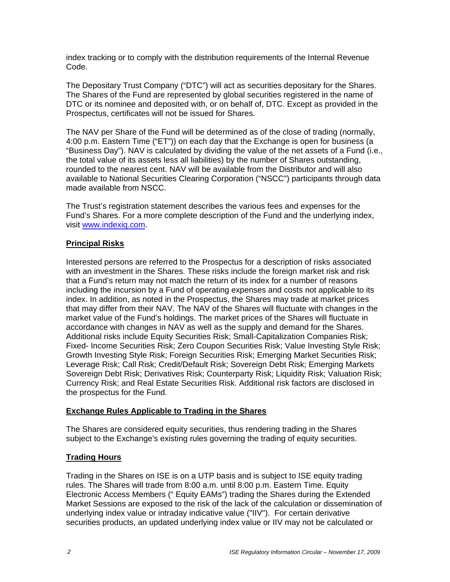index tracking or to comply with the distribution requirements of the Internal Revenue Code.

The Depositary Trust Company ("DTC") will act as securities depositary for the Shares. The Shares of the Fund are represented by global securities registered in the name of DTC or its nominee and deposited with, or on behalf of, DTC. Except as provided in the Prospectus, certificates will not be issued for Shares.

The NAV per Share of the Fund will be determined as of the close of trading (normally, 4:00 p.m. Eastern Time ("ET")) on each day that the Exchange is open for business (a "Business Day"). NAV is calculated by dividing the value of the net assets of a Fund (i.e., the total value of its assets less all liabilities) by the number of Shares outstanding, rounded to the nearest cent. NAV will be available from the Distributor and will also available to National Securities Clearing Corporation ("NSCC") participants through data made available from NSCC.

The Trust's registration statement describes the various fees and expenses for the Fund's Shares. For a more complete description of the Fund and the underlying index, visit www.indexiq.com.

### **Principal Risks**

Interested persons are referred to the Prospectus for a description of risks associated with an investment in the Shares. These risks include the foreign market risk and risk that a Fund's return may not match the return of its index for a number of reasons including the incursion by a Fund of operating expenses and costs not applicable to its index. In addition, as noted in the Prospectus, the Shares may trade at market prices that may differ from their NAV. The NAV of the Shares will fluctuate with changes in the market value of the Fund's holdings. The market prices of the Shares will fluctuate in accordance with changes in NAV as well as the supply and demand for the Shares. Additional risks include Equity Securities Risk; Small-Capitalization Companies Risk; Fixed- Income Securities Risk; Zero Coupon Securities Risk; Value Investing Style Risk; Growth Investing Style Risk; Foreign Securities Risk; Emerging Market Securities Risk; Leverage Risk; Call Risk; Credit/Default Risk; Sovereign Debt Risk; Emerging Markets Sovereign Debt Risk; Derivatives Risk; Counterparty Risk; Liquidity Risk; Valuation Risk; Currency Risk; and Real Estate Securities Risk. Additional risk factors are disclosed in the prospectus for the Fund.

### **Exchange Rules Applicable to Trading in the Shares**

The Shares are considered equity securities, thus rendering trading in the Shares subject to the Exchange's existing rules governing the trading of equity securities.

## **Trading Hours**

Trading in the Shares on ISE is on a UTP basis and is subject to ISE equity trading rules. The Shares will trade from 8:00 a.m. until 8:00 p.m. Eastern Time. Equity Electronic Access Members (" Equity EAMs") trading the Shares during the Extended Market Sessions are exposed to the risk of the lack of the calculation or dissemination of underlying index value or intraday indicative value ("IIV"). For certain derivative securities products, an updated underlying index value or IIV may not be calculated or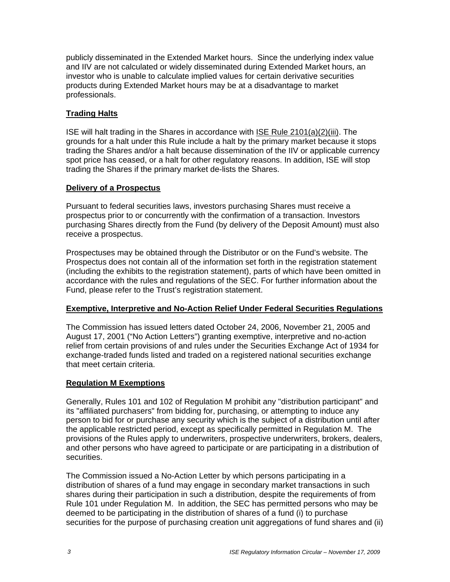publicly disseminated in the Extended Market hours. Since the underlying index value and IIV are not calculated or widely disseminated during Extended Market hours, an investor who is unable to calculate implied values for certain derivative securities products during Extended Market hours may be at a disadvantage to market professionals.

### **Trading Halts**

ISE will halt trading in the Shares in accordance with ISE Rule 2101(a)(2)(iii). The grounds for a halt under this Rule include a halt by the primary market because it stops trading the Shares and/or a halt because dissemination of the IIV or applicable currency spot price has ceased, or a halt for other regulatory reasons. In addition, ISE will stop trading the Shares if the primary market de-lists the Shares.

### **Delivery of a Prospectus**

Pursuant to federal securities laws, investors purchasing Shares must receive a prospectus prior to or concurrently with the confirmation of a transaction. Investors purchasing Shares directly from the Fund (by delivery of the Deposit Amount) must also receive a prospectus.

Prospectuses may be obtained through the Distributor or on the Fund's website. The Prospectus does not contain all of the information set forth in the registration statement (including the exhibits to the registration statement), parts of which have been omitted in accordance with the rules and regulations of the SEC. For further information about the Fund, please refer to the Trust's registration statement.

### **Exemptive, Interpretive and No-Action Relief Under Federal Securities Regulations**

The Commission has issued letters dated October 24, 2006, November 21, 2005 and August 17, 2001 ("No Action Letters") granting exemptive, interpretive and no-action relief from certain provisions of and rules under the Securities Exchange Act of 1934 for exchange-traded funds listed and traded on a registered national securities exchange that meet certain criteria.

#### **Regulation M Exemptions**

Generally, Rules 101 and 102 of Regulation M prohibit any "distribution participant" and its "affiliated purchasers" from bidding for, purchasing, or attempting to induce any person to bid for or purchase any security which is the subject of a distribution until after the applicable restricted period, except as specifically permitted in Regulation M. The provisions of the Rules apply to underwriters, prospective underwriters, brokers, dealers, and other persons who have agreed to participate or are participating in a distribution of securities.

The Commission issued a No-Action Letter by which persons participating in a distribution of shares of a fund may engage in secondary market transactions in such shares during their participation in such a distribution, despite the requirements of from Rule 101 under Regulation M. In addition, the SEC has permitted persons who may be deemed to be participating in the distribution of shares of a fund (i) to purchase securities for the purpose of purchasing creation unit aggregations of fund shares and (ii)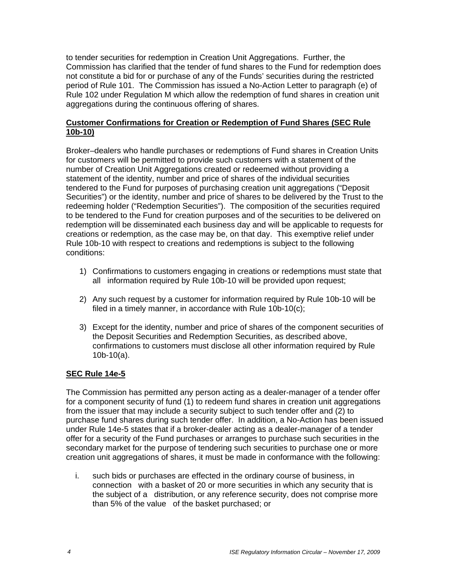to tender securities for redemption in Creation Unit Aggregations. Further, the Commission has clarified that the tender of fund shares to the Fund for redemption does not constitute a bid for or purchase of any of the Funds' securities during the restricted period of Rule 101. The Commission has issued a No-Action Letter to paragraph (e) of Rule 102 under Regulation M which allow the redemption of fund shares in creation unit aggregations during the continuous offering of shares.

### **Customer Confirmations for Creation or Redemption of Fund Shares (SEC Rule 10b-10)**

Broker–dealers who handle purchases or redemptions of Fund shares in Creation Units for customers will be permitted to provide such customers with a statement of the number of Creation Unit Aggregations created or redeemed without providing a statement of the identity, number and price of shares of the individual securities tendered to the Fund for purposes of purchasing creation unit aggregations ("Deposit Securities") or the identity, number and price of shares to be delivered by the Trust to the redeeming holder ("Redemption Securities"). The composition of the securities required to be tendered to the Fund for creation purposes and of the securities to be delivered on redemption will be disseminated each business day and will be applicable to requests for creations or redemption, as the case may be, on that day. This exemptive relief under Rule 10b-10 with respect to creations and redemptions is subject to the following conditions:

- 1) Confirmations to customers engaging in creations or redemptions must state that all information required by Rule 10b-10 will be provided upon request;
- 2) Any such request by a customer for information required by Rule 10b-10 will be filed in a timely manner, in accordance with Rule 10b-10(c);
- 3) Except for the identity, number and price of shares of the component securities of the Deposit Securities and Redemption Securities, as described above, confirmations to customers must disclose all other information required by Rule 10b-10(a).

### **SEC Rule 14e-5**

The Commission has permitted any person acting as a dealer-manager of a tender offer for a component security of fund (1) to redeem fund shares in creation unit aggregations from the issuer that may include a security subject to such tender offer and (2) to purchase fund shares during such tender offer. In addition, a No-Action has been issued under Rule 14e-5 states that if a broker-dealer acting as a dealer-manager of a tender offer for a security of the Fund purchases or arranges to purchase such securities in the secondary market for the purpose of tendering such securities to purchase one or more creation unit aggregations of shares, it must be made in conformance with the following:

i. such bids or purchases are effected in the ordinary course of business, in connection with a basket of 20 or more securities in which any security that is the subject of a distribution, or any reference security, does not comprise more than 5% of the value of the basket purchased; or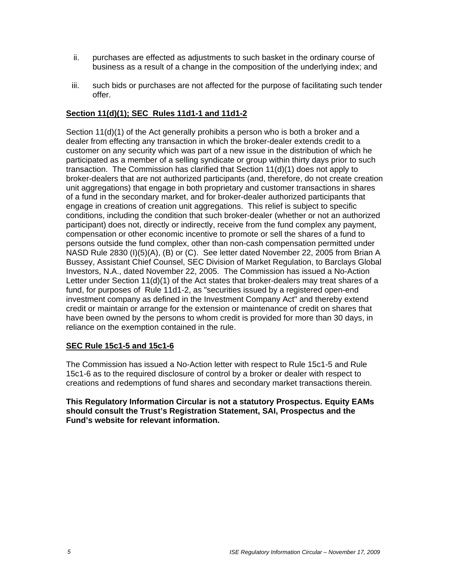- ii. purchases are effected as adjustments to such basket in the ordinary course of business as a result of a change in the composition of the underlying index; and
- iii. such bids or purchases are not affected for the purpose of facilitating such tender offer.

### **Section 11(d)(1); SEC Rules 11d1-1 and 11d1-2**

Section 11(d)(1) of the Act generally prohibits a person who is both a broker and a dealer from effecting any transaction in which the broker-dealer extends credit to a customer on any security which was part of a new issue in the distribution of which he participated as a member of a selling syndicate or group within thirty days prior to such transaction. The Commission has clarified that Section 11(d)(1) does not apply to broker-dealers that are not authorized participants (and, therefore, do not create creation unit aggregations) that engage in both proprietary and customer transactions in shares of a fund in the secondary market, and for broker-dealer authorized participants that engage in creations of creation unit aggregations. This relief is subject to specific conditions, including the condition that such broker-dealer (whether or not an authorized participant) does not, directly or indirectly, receive from the fund complex any payment, compensation or other economic incentive to promote or sell the shares of a fund to persons outside the fund complex, other than non-cash compensation permitted under NASD Rule 2830 (I)(5)(A), (B) or (C). See letter dated November 22, 2005 from Brian A Bussey, Assistant Chief Counsel, SEC Division of Market Regulation, to Barclays Global Investors, N.A., dated November 22, 2005. The Commission has issued a No-Action Letter under Section 11(d)(1) of the Act states that broker-dealers may treat shares of a fund, for purposes of Rule 11d1-2, as "securities issued by a registered open-end investment company as defined in the Investment Company Act" and thereby extend credit or maintain or arrange for the extension or maintenance of credit on shares that have been owned by the persons to whom credit is provided for more than 30 days, in reliance on the exemption contained in the rule.

### **SEC Rule 15c1-5 and 15c1-6**

The Commission has issued a No-Action letter with respect to Rule 15c1-5 and Rule 15c1-6 as to the required disclosure of control by a broker or dealer with respect to creations and redemptions of fund shares and secondary market transactions therein.

#### **This Regulatory Information Circular is not a statutory Prospectus. Equity EAMs should consult the Trust's Registration Statement, SAI, Prospectus and the Fund's website for relevant information.**